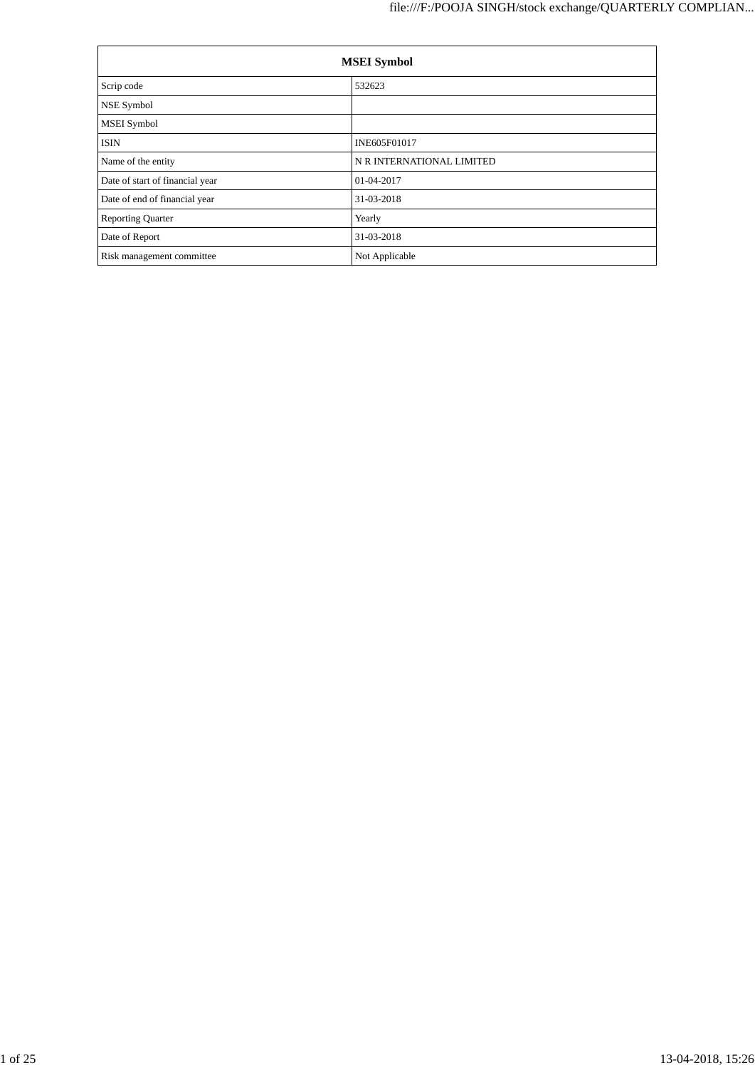| <b>MSEI</b> Symbol              |                           |  |  |  |
|---------------------------------|---------------------------|--|--|--|
| Scrip code                      | 532623                    |  |  |  |
| NSE Symbol                      |                           |  |  |  |
| <b>MSEI</b> Symbol              |                           |  |  |  |
| <b>ISIN</b>                     | INE605F01017              |  |  |  |
| Name of the entity              | N R INTERNATIONAL LIMITED |  |  |  |
| Date of start of financial year | 01-04-2017                |  |  |  |
| Date of end of financial year   | 31-03-2018                |  |  |  |
| <b>Reporting Quarter</b>        | Yearly                    |  |  |  |
| Date of Report                  | 31-03-2018                |  |  |  |
| Risk management committee       | Not Applicable            |  |  |  |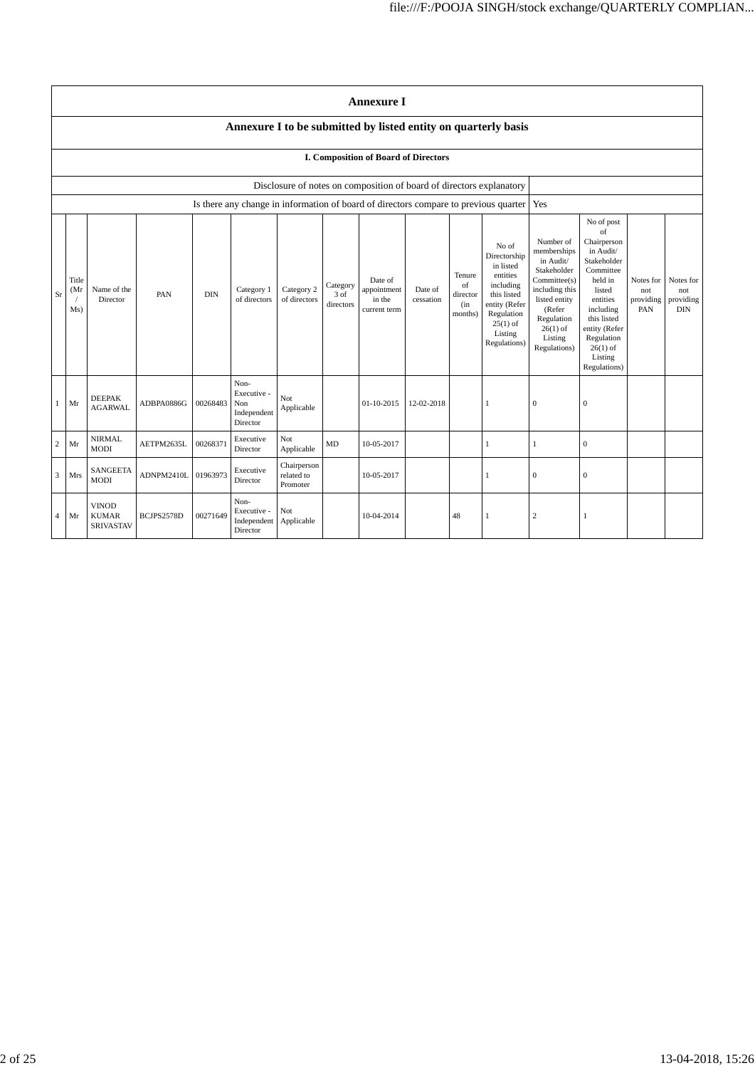|                | <b>Annexure I</b>                                                                                                                                                                                                                                                                                                                                                                                                                                 |                                                  |            |          |                                                       |                                       |                                                                                                                                                                          |                                                                                                                                                                                                                             |                                      |                                             |                                                                                      |                |                  |  |  |
|----------------|---------------------------------------------------------------------------------------------------------------------------------------------------------------------------------------------------------------------------------------------------------------------------------------------------------------------------------------------------------------------------------------------------------------------------------------------------|--------------------------------------------------|------------|----------|-------------------------------------------------------|---------------------------------------|--------------------------------------------------------------------------------------------------------------------------------------------------------------------------|-----------------------------------------------------------------------------------------------------------------------------------------------------------------------------------------------------------------------------|--------------------------------------|---------------------------------------------|--------------------------------------------------------------------------------------|----------------|------------------|--|--|
|                | Annexure I to be submitted by listed entity on quarterly basis                                                                                                                                                                                                                                                                                                                                                                                    |                                                  |            |          |                                                       |                                       |                                                                                                                                                                          |                                                                                                                                                                                                                             |                                      |                                             |                                                                                      |                |                  |  |  |
|                | <b>I. Composition of Board of Directors</b>                                                                                                                                                                                                                                                                                                                                                                                                       |                                                  |            |          |                                                       |                                       |                                                                                                                                                                          |                                                                                                                                                                                                                             |                                      |                                             |                                                                                      |                |                  |  |  |
|                |                                                                                                                                                                                                                                                                                                                                                                                                                                                   |                                                  |            |          |                                                       |                                       |                                                                                                                                                                          | Disclosure of notes on composition of board of directors explanatory                                                                                                                                                        |                                      |                                             |                                                                                      |                |                  |  |  |
|                |                                                                                                                                                                                                                                                                                                                                                                                                                                                   |                                                  |            |          |                                                       |                                       |                                                                                                                                                                          |                                                                                                                                                                                                                             |                                      |                                             | Is there any change in information of board of directors compare to previous quarter | Yes            |                  |  |  |
| Sr             | No of<br>Directorship<br>in listed<br>entities<br>Tenure<br>Title<br>Date of<br>of<br>including<br>Category<br>Name of the<br>Category 2<br>appointment<br>(Mr)<br>Category 1<br>Date of<br><b>DIN</b><br>this listed<br>PAN<br>3 of<br>director<br>of directors<br>Director<br>of directors<br>in the<br>cessation<br>entity (Refer<br>directors<br>(in<br>Ms)<br>current term<br>Regulation<br>months)<br>$25(1)$ of<br>Listing<br>Regulations) |                                                  |            |          |                                                       |                                       | Number of<br>memberships<br>in Audit/<br>Stakeholder<br>Committee(s)<br>including this<br>listed entity<br>(Refer<br>Regulation<br>$26(1)$ of<br>Listing<br>Regulations) | No of post<br>$_{\mathrm{of}}$<br>Chairperson<br>in Audit/<br>Stakeholder<br>Committee<br>held in<br>listed<br>entities<br>including<br>this listed<br>entity (Refer<br>Regulation<br>$26(1)$ of<br>Listing<br>Regulations) | Notes for<br>not<br>providing<br>PAN | Notes for<br>not<br>providing<br><b>DIN</b> |                                                                                      |                |                  |  |  |
| 1              | Mr                                                                                                                                                                                                                                                                                                                                                                                                                                                | <b>DEEPAK</b><br><b>AGARWAL</b>                  | ADBPA0886G | 00268483 | Non-<br>Executive -<br>Non<br>Independent<br>Director | Not<br>Applicable                     |                                                                                                                                                                          | $01-10-2015$                                                                                                                                                                                                                | 12-02-2018                           |                                             | 1                                                                                    | $\mathbf{0}$   | $\mathbf{0}$     |  |  |
| $\overline{c}$ | Mr                                                                                                                                                                                                                                                                                                                                                                                                                                                | <b>NIRMAL</b><br><b>MODI</b>                     | AETPM2635L | 00268371 | Executive<br>Director                                 | Not<br>Applicable                     | MD                                                                                                                                                                       | 10-05-2017                                                                                                                                                                                                                  |                                      |                                             | $\mathbf{1}$                                                                         | -1             | $\boldsymbol{0}$ |  |  |
| $\overline{3}$ | Mrs                                                                                                                                                                                                                                                                                                                                                                                                                                               | SANGEETA<br>MODI                                 | ADNPM2410L | 01963973 | Executive<br>Director                                 | Chairperson<br>related to<br>Promoter |                                                                                                                                                                          | 10-05-2017                                                                                                                                                                                                                  |                                      |                                             | 1                                                                                    | $\theta$       | $\mathbf{0}$     |  |  |
| $\overline{4}$ | Mr                                                                                                                                                                                                                                                                                                                                                                                                                                                | <b>VINOD</b><br><b>KUMAR</b><br><b>SRIVASTAV</b> | BCJPS2578D | 00271649 | Non-<br>Executive -<br>Independent<br>Director        | Not<br>Applicable                     |                                                                                                                                                                          | 10-04-2014                                                                                                                                                                                                                  |                                      | 48                                          |                                                                                      | $\overline{c}$ | $\mathbf{1}$     |  |  |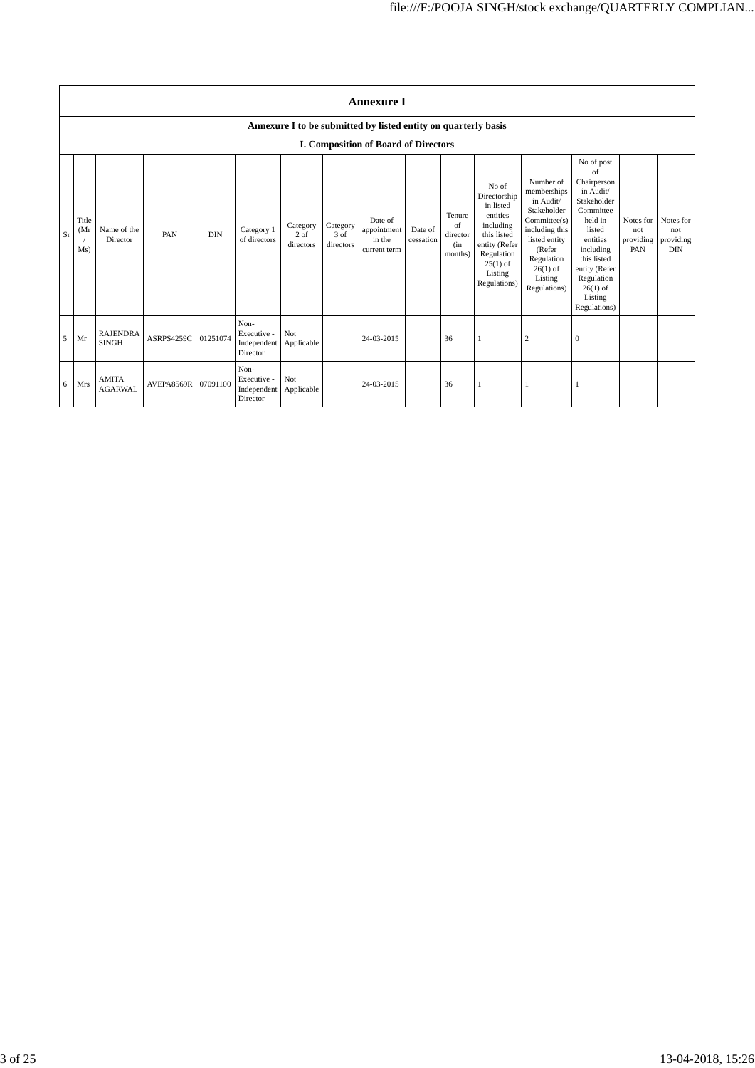|    | <b>Annexure I</b>                                              |                                 |            |            |                                                |                                 |                               |                                                  |                      |                                            |                                                                                                                                                    |                                                                                                                                                                          |                                                                                                                                                                                                               |                                      |                                             |
|----|----------------------------------------------------------------|---------------------------------|------------|------------|------------------------------------------------|---------------------------------|-------------------------------|--------------------------------------------------|----------------------|--------------------------------------------|----------------------------------------------------------------------------------------------------------------------------------------------------|--------------------------------------------------------------------------------------------------------------------------------------------------------------------------|---------------------------------------------------------------------------------------------------------------------------------------------------------------------------------------------------------------|--------------------------------------|---------------------------------------------|
|    | Annexure I to be submitted by listed entity on quarterly basis |                                 |            |            |                                                |                                 |                               |                                                  |                      |                                            |                                                                                                                                                    |                                                                                                                                                                          |                                                                                                                                                                                                               |                                      |                                             |
|    |                                                                |                                 |            |            |                                                |                                 |                               | I. Composition of Board of Directors             |                      |                                            |                                                                                                                                                    |                                                                                                                                                                          |                                                                                                                                                                                                               |                                      |                                             |
| Sr | Title<br>(Mr<br>Ms)                                            | Name of the<br>Director         | PAN        | <b>DIN</b> | Category 1<br>of directors                     | Category<br>$2$ of<br>directors | Category<br>3 of<br>directors | Date of<br>appointment<br>in the<br>current term | Date of<br>cessation | Tenure<br>of<br>director<br>(in<br>months) | No of<br>Directorship<br>in listed<br>entities<br>including<br>this listed<br>entity (Refer<br>Regulation<br>$25(1)$ of<br>Listing<br>Regulations) | Number of<br>memberships<br>in Audit/<br>Stakeholder<br>Committee(s)<br>including this<br>listed entity<br>(Refer<br>Regulation<br>$26(1)$ of<br>Listing<br>Regulations) | No of post<br>of<br>Chairperson<br>in Audit/<br>Stakeholder<br>Committee<br>held in<br>listed<br>entities<br>including<br>this listed<br>entity (Refer<br>Regulation<br>$26(1)$ of<br>Listing<br>Regulations) | Notes for<br>not<br>providing<br>PAN | Notes for<br>not<br>providing<br><b>DIN</b> |
| 5  | Mr                                                             | <b>RAJENDRA</b><br><b>SINGH</b> | ASRPS4259C | 01251074   | Non-<br>Executive -<br>Independent<br>Director | Not<br>Applicable               |                               | 24-03-2015                                       |                      | 36                                         |                                                                                                                                                    | $\overline{2}$                                                                                                                                                           | $\mathbf{0}$                                                                                                                                                                                                  |                                      |                                             |
| 6  | Mrs                                                            | <b>AMITA</b><br><b>AGARWAL</b>  | AVEPA8569R | 07091100   | Non-<br>Executive -<br>Independent<br>Director | Not<br>Applicable               |                               | 24-03-2015                                       |                      | 36                                         | 1                                                                                                                                                  |                                                                                                                                                                          |                                                                                                                                                                                                               |                                      |                                             |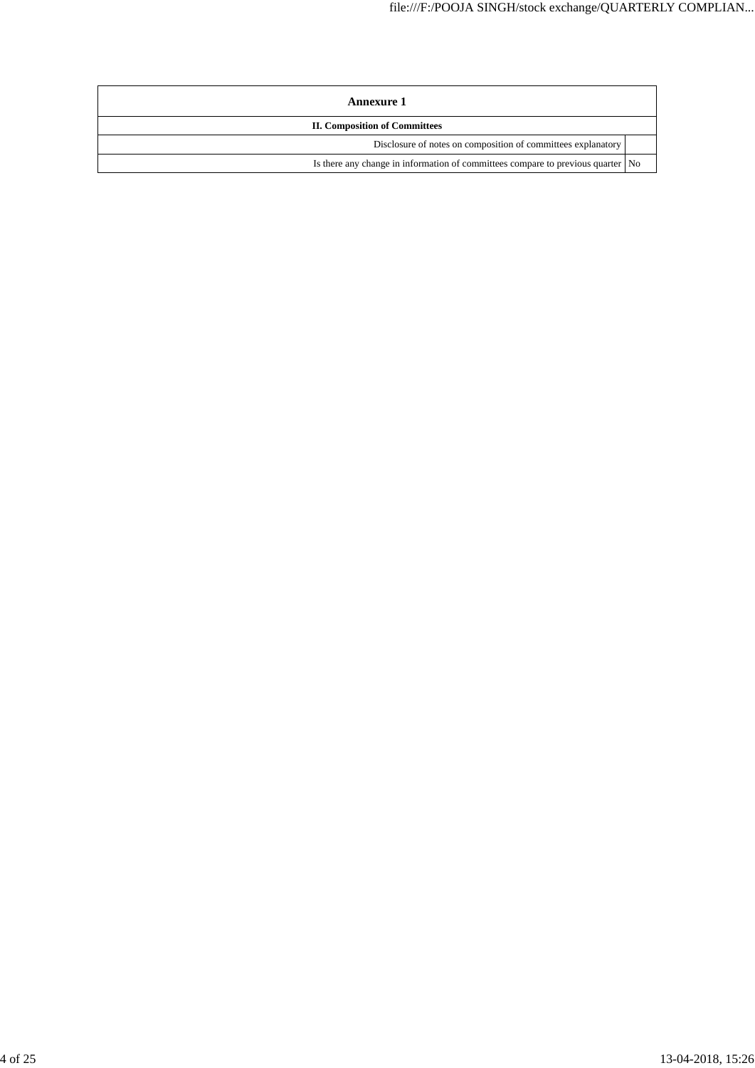| Annexure 1                                                                      |  |  |  |  |  |
|---------------------------------------------------------------------------------|--|--|--|--|--|
| <b>II. Composition of Committees</b>                                            |  |  |  |  |  |
| Disclosure of notes on composition of committees explanatory                    |  |  |  |  |  |
| Is there any change in information of committees compare to previous quarter No |  |  |  |  |  |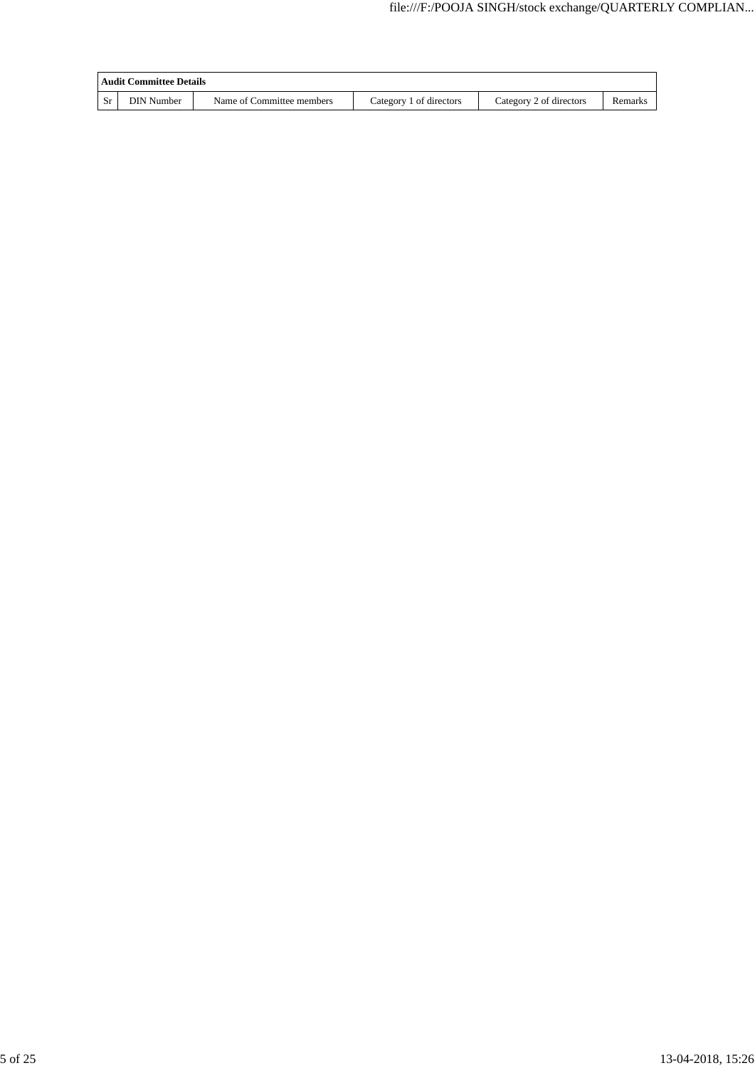| <b>Audit Committee Details</b> |                           |                         |                         |         |  |  |  |
|--------------------------------|---------------------------|-------------------------|-------------------------|---------|--|--|--|
| <b>DIN</b> Number              | Name of Committee members | Category 1 of directors | Category 2 of directors | Remarks |  |  |  |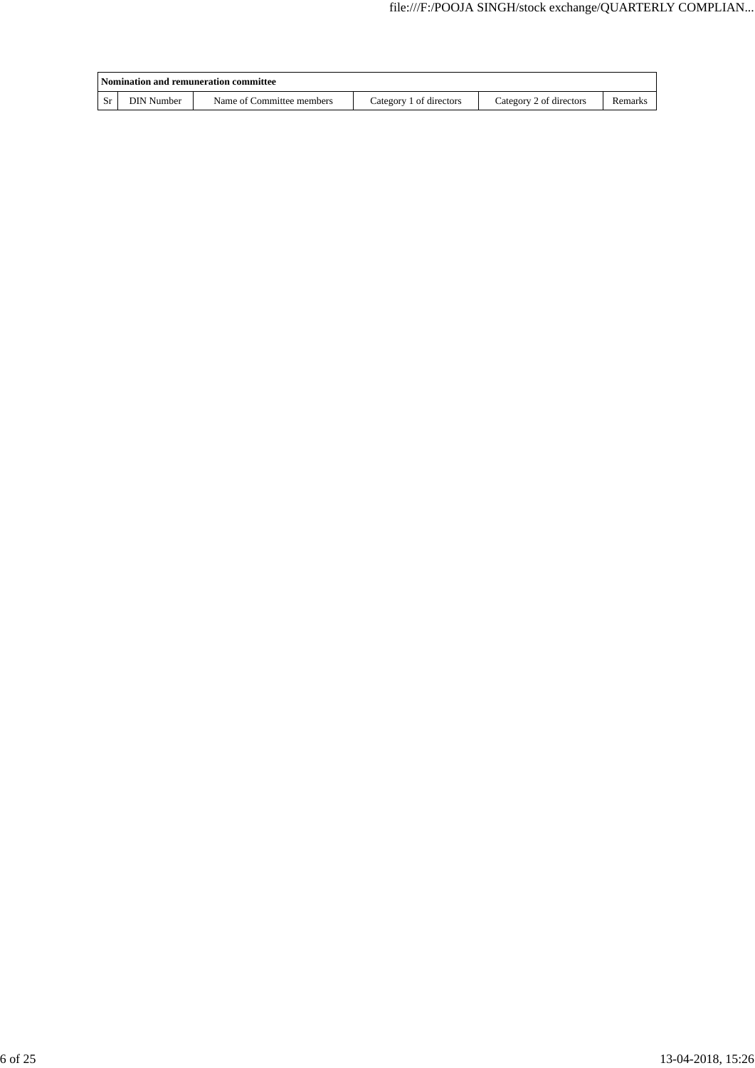| Nomination and remuneration committee |                           |                         |                         |         |  |  |  |
|---------------------------------------|---------------------------|-------------------------|-------------------------|---------|--|--|--|
| <b>DIN</b> Number                     | Name of Committee members | Category 1 of directors | Category 2 of directors | Remarks |  |  |  |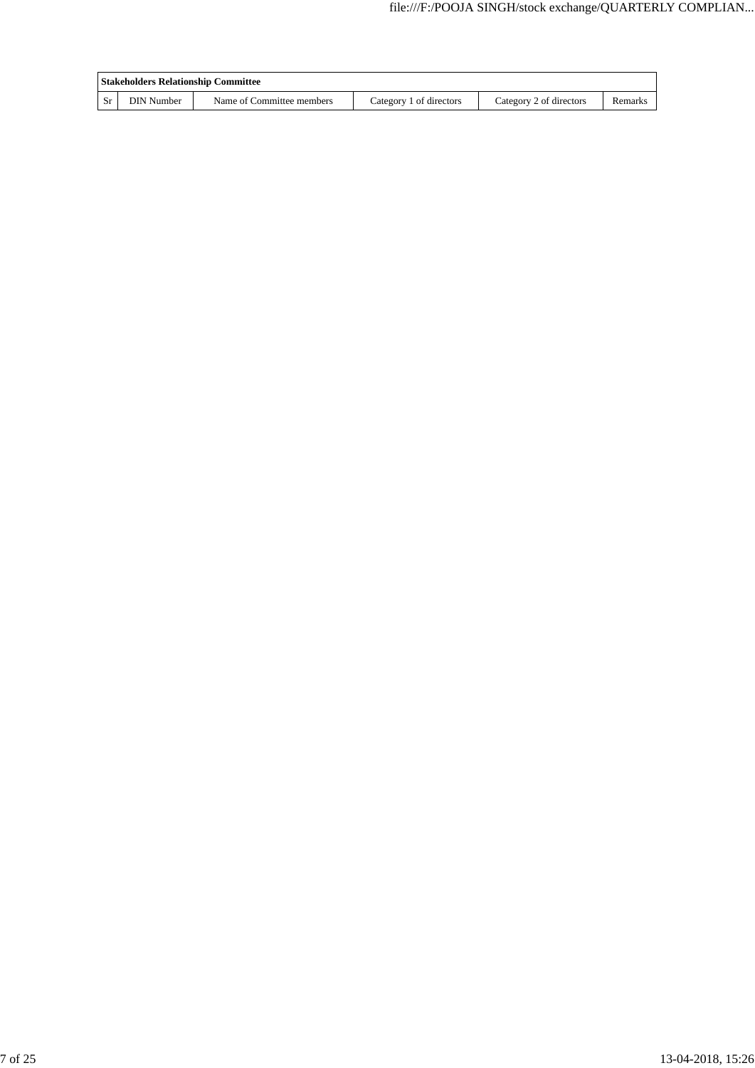| <b>Stakeholders Relationship Committee</b> |                           |                         |                         |         |  |  |  |
|--------------------------------------------|---------------------------|-------------------------|-------------------------|---------|--|--|--|
| <b>DIN</b> Number                          | Name of Committee members | Category 1 of directors | Category 2 of directors | Remarks |  |  |  |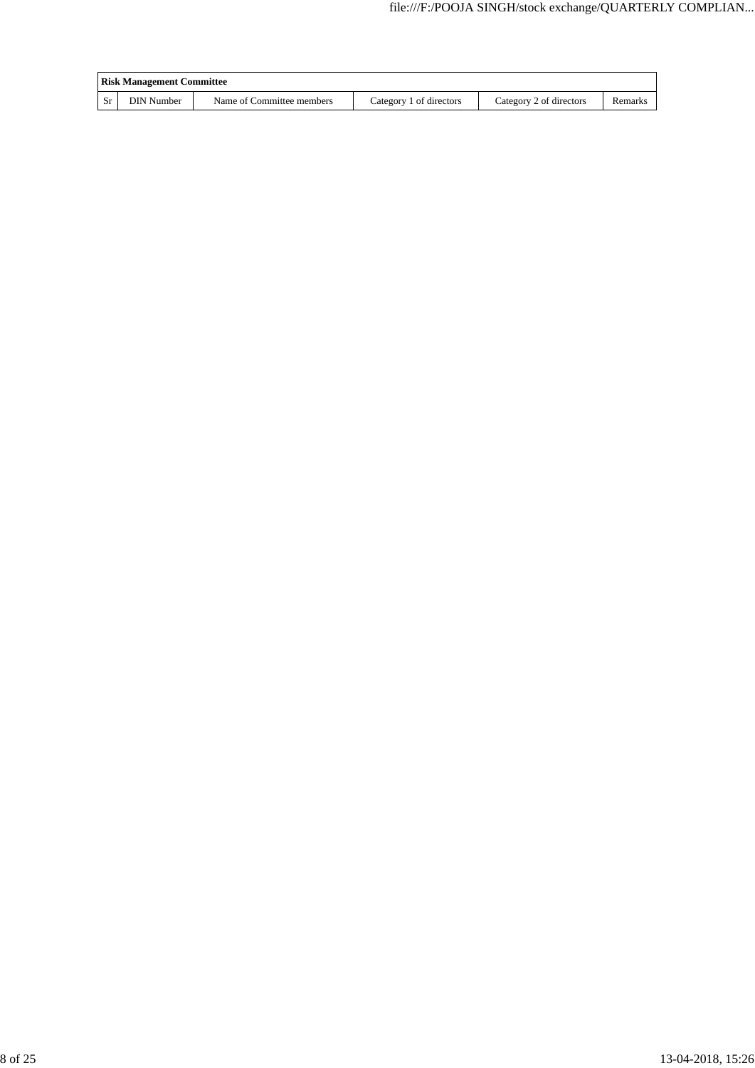| <b>Risk Management Committee</b> |                           |                         |                         |         |  |  |  |
|----------------------------------|---------------------------|-------------------------|-------------------------|---------|--|--|--|
| <b>DIN</b> Number                | Name of Committee members | Category 1 of directors | Category 2 of directors | Remarks |  |  |  |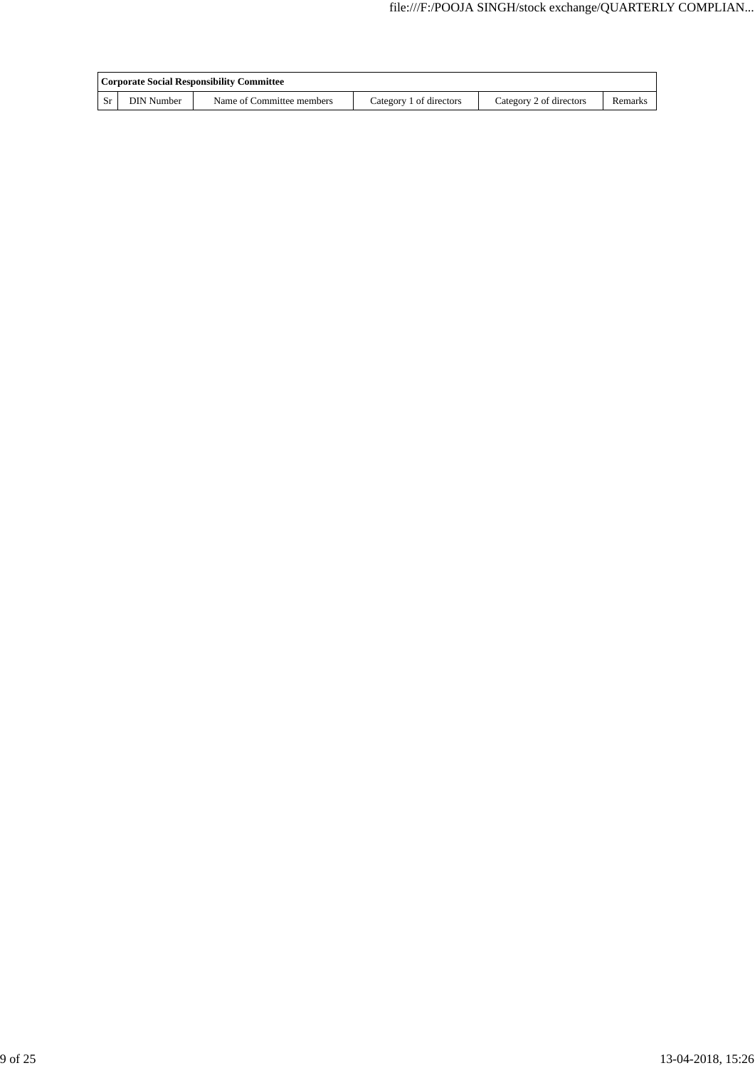| Corporate Social Responsibility Committee |                           |                         |                         |         |  |  |  |  |
|-------------------------------------------|---------------------------|-------------------------|-------------------------|---------|--|--|--|--|
| <b>DIN</b> Number                         | Name of Committee members | Category 1 of directors | Category 2 of directors | Remarks |  |  |  |  |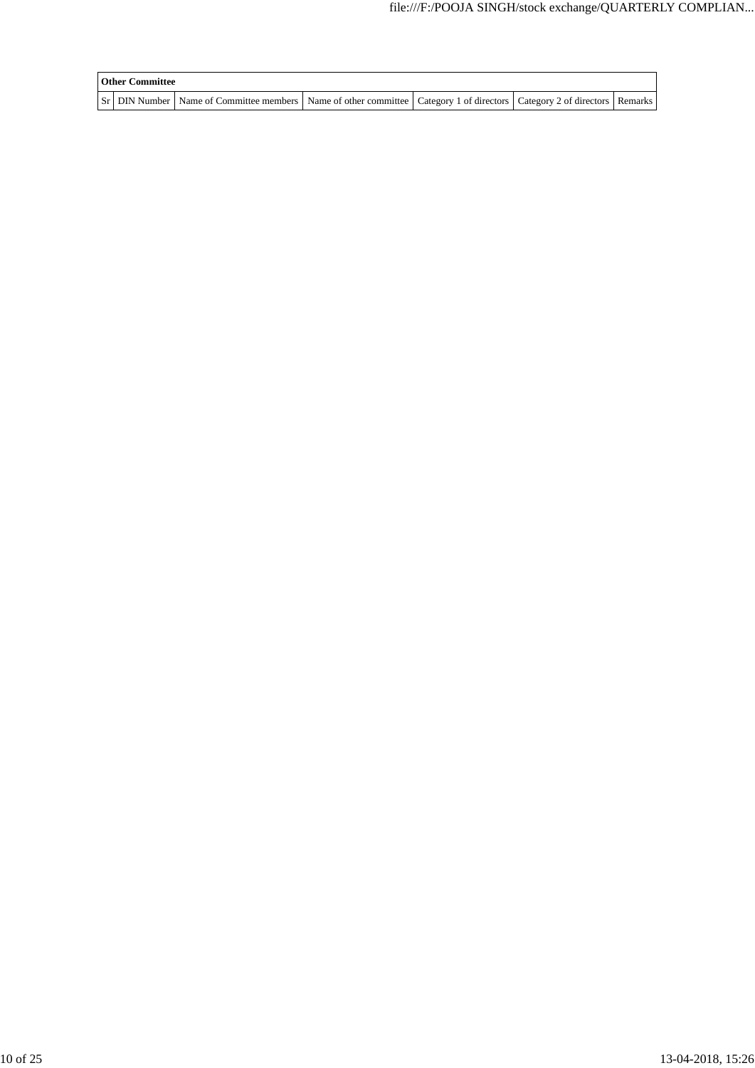| <b>Other Committee</b> |                                                                                                                                     |  |  |  |  |  |  |  |
|------------------------|-------------------------------------------------------------------------------------------------------------------------------------|--|--|--|--|--|--|--|
|                        | Sr   DIN Number   Name of Committee members   Name of other committee   Category 1 of directors   Category 2 of directors   Remarks |  |  |  |  |  |  |  |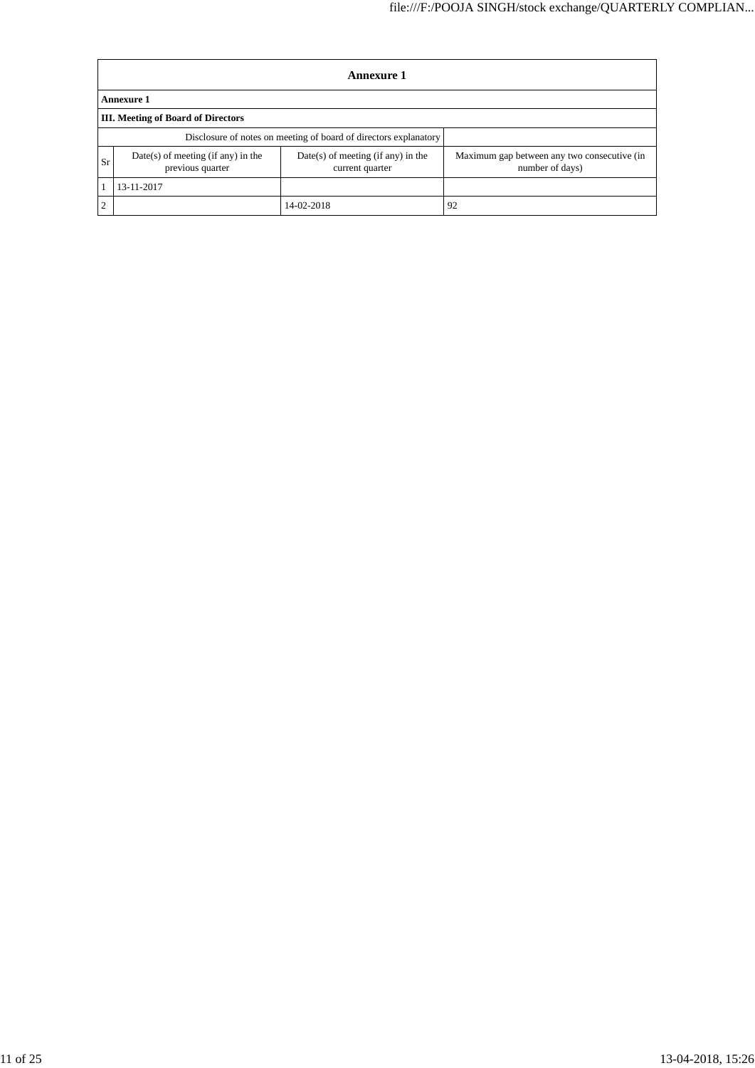|           | Annexure 1                                               |                                                                  |                                                                |  |  |  |  |  |
|-----------|----------------------------------------------------------|------------------------------------------------------------------|----------------------------------------------------------------|--|--|--|--|--|
|           | <b>Annexure 1</b>                                        |                                                                  |                                                                |  |  |  |  |  |
|           | <b>III.</b> Meeting of Board of Directors                |                                                                  |                                                                |  |  |  |  |  |
|           |                                                          | Disclosure of notes on meeting of board of directors explanatory |                                                                |  |  |  |  |  |
| Sr        | $Date(s)$ of meeting (if any) in the<br>previous quarter | $Date(s)$ of meeting (if any) in the<br>current quarter          | Maximum gap between any two consecutive (in<br>number of days) |  |  |  |  |  |
|           | 13-11-2017                                               |                                                                  |                                                                |  |  |  |  |  |
| $\bigcap$ |                                                          | 14-02-2018                                                       | 92                                                             |  |  |  |  |  |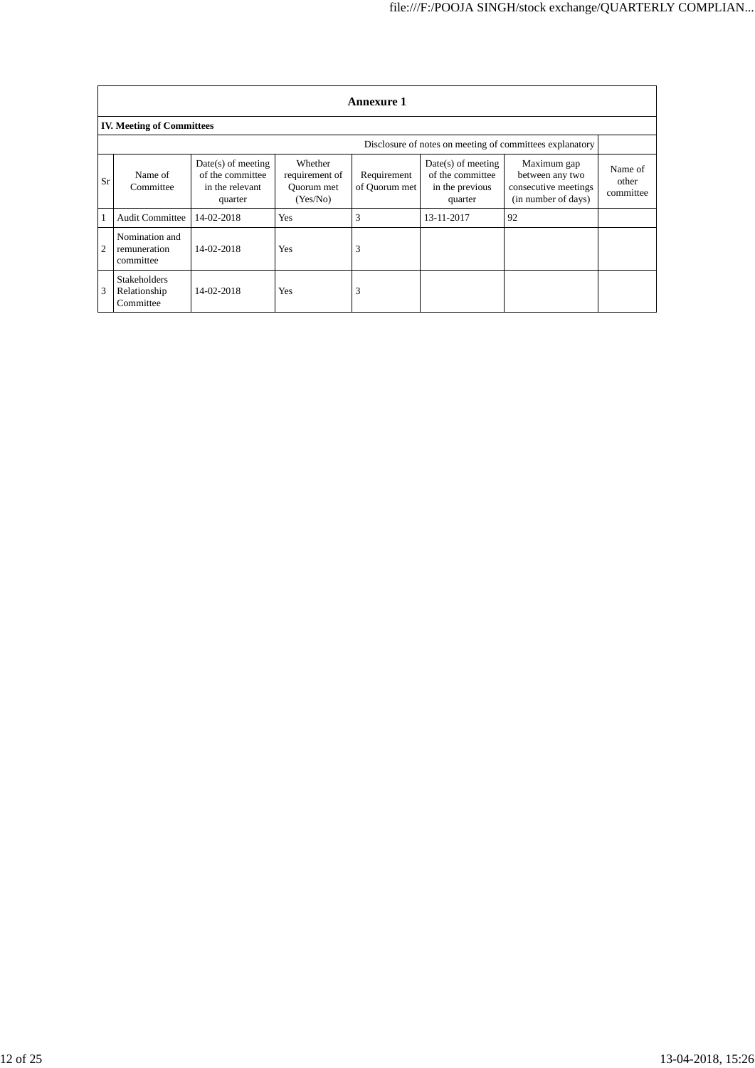|    | <b>Annexure 1</b>                                |                                                                        |                                                     |                              |                                                                        |                                                                               |                               |  |  |  |
|----|--------------------------------------------------|------------------------------------------------------------------------|-----------------------------------------------------|------------------------------|------------------------------------------------------------------------|-------------------------------------------------------------------------------|-------------------------------|--|--|--|
|    | <b>IV. Meeting of Committees</b>                 |                                                                        |                                                     |                              |                                                                        |                                                                               |                               |  |  |  |
|    |                                                  |                                                                        |                                                     |                              |                                                                        | Disclosure of notes on meeting of committees explanatory                      |                               |  |  |  |
| Sr | Name of<br>Committee                             | $Date(s)$ of meeting<br>of the committee<br>in the relevant<br>quarter | Whether<br>requirement of<br>Ouorum met<br>(Yes/No) | Requirement<br>of Quorum met | $Date(s)$ of meeting<br>of the committee<br>in the previous<br>quarter | Maximum gap<br>between any two<br>consecutive meetings<br>(in number of days) | Name of<br>other<br>committee |  |  |  |
|    | <b>Audit Committee</b>                           | 14-02-2018                                                             | Yes                                                 | 3                            | 13-11-2017                                                             | 92                                                                            |                               |  |  |  |
| 2  | Nomination and<br>remuneration<br>committee      | 14-02-2018                                                             | <b>Yes</b>                                          | 3                            |                                                                        |                                                                               |                               |  |  |  |
| 3  | <b>Stakeholders</b><br>Relationship<br>Committee | 14-02-2018                                                             | <b>Yes</b>                                          | 3                            |                                                                        |                                                                               |                               |  |  |  |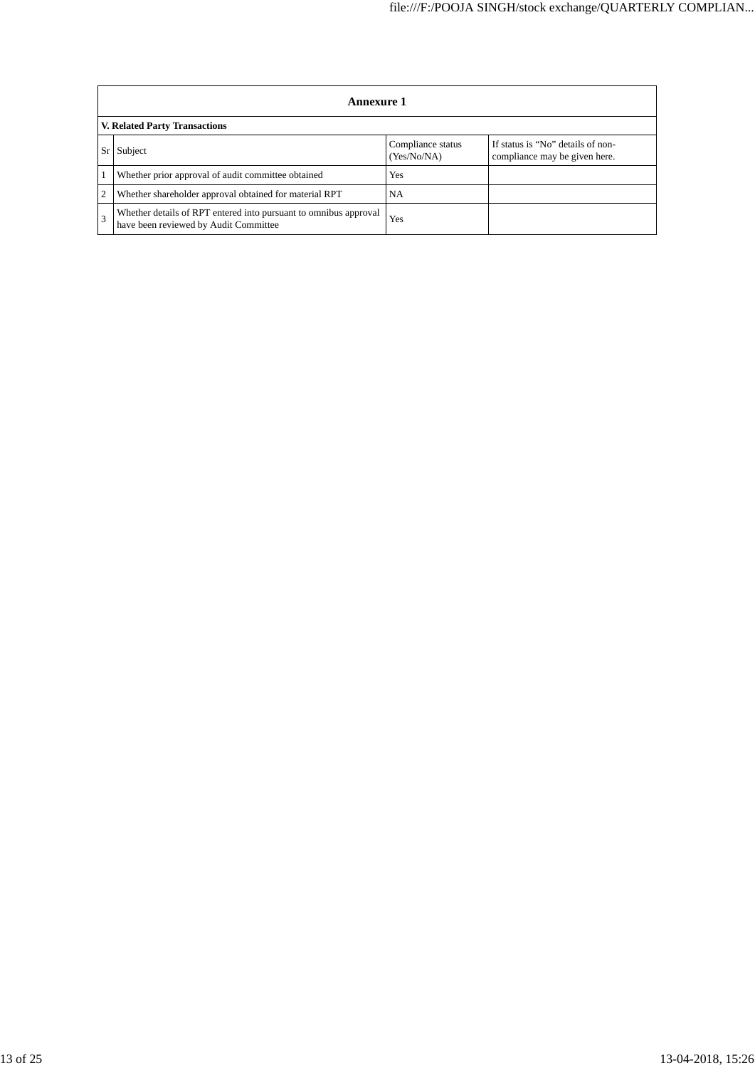| <b>Annexure 1</b>                                                                                         |                                  |                                                                    |  |
|-----------------------------------------------------------------------------------------------------------|----------------------------------|--------------------------------------------------------------------|--|
| V. Related Party Transactions                                                                             |                                  |                                                                    |  |
| Subject                                                                                                   | Compliance status<br>(Yes/No/NA) | If status is "No" details of non-<br>compliance may be given here. |  |
| Whether prior approval of audit committee obtained                                                        | <b>Yes</b>                       |                                                                    |  |
| Whether shareholder approval obtained for material RPT                                                    | NA                               |                                                                    |  |
| Whether details of RPT entered into pursuant to omnibus approval<br>have been reviewed by Audit Committee | Yes                              |                                                                    |  |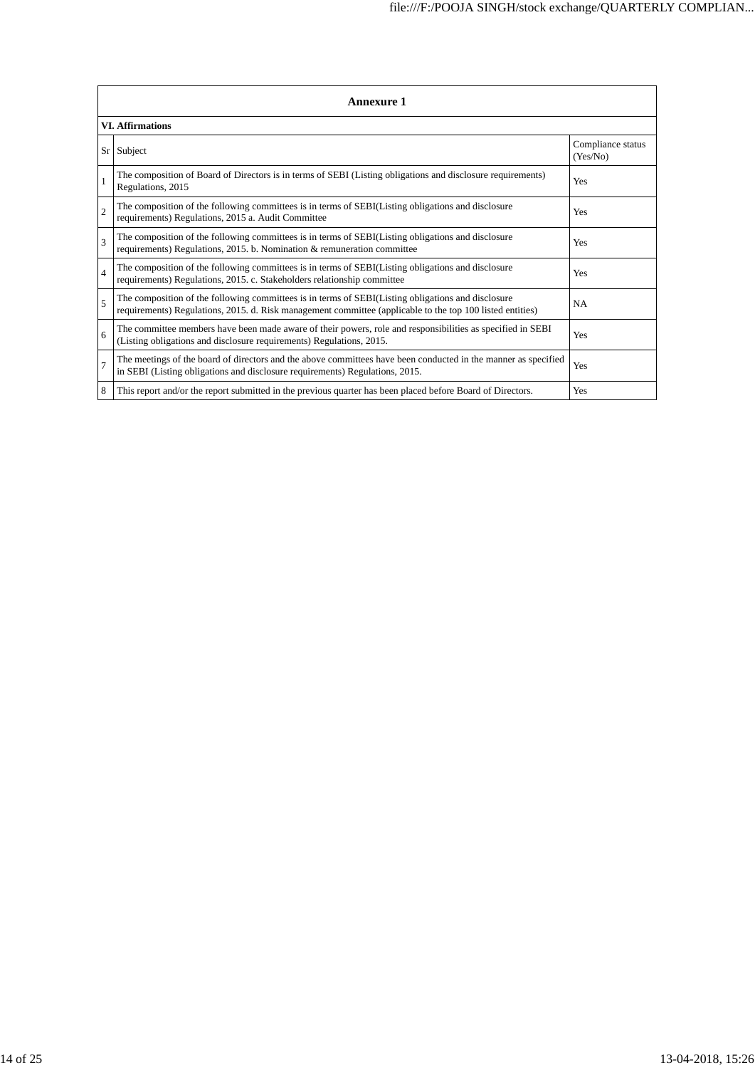|                | <b>Annexure 1</b>                                                                                                                                                                                               |                               |  |  |
|----------------|-----------------------------------------------------------------------------------------------------------------------------------------------------------------------------------------------------------------|-------------------------------|--|--|
|                | <b>VI. Affirmations</b>                                                                                                                                                                                         |                               |  |  |
| $S_{r}$        | Subject                                                                                                                                                                                                         | Compliance status<br>(Yes/No) |  |  |
|                | The composition of Board of Directors is in terms of SEBI (Listing obligations and disclosure requirements)<br>Regulations, 2015                                                                                | Yes                           |  |  |
| $\overline{c}$ | The composition of the following committees is in terms of SEBI(Listing obligations and disclosure<br>requirements) Regulations, 2015 a. Audit Committee                                                        | Yes                           |  |  |
| 3              | The composition of the following committees is in terms of SEBI(Listing obligations and disclosure<br>requirements) Regulations, 2015. b. Nomination & remuneration committee                                   | Yes                           |  |  |
| $\overline{4}$ | The composition of the following committees is in terms of SEBI(Listing obligations and disclosure<br>requirements) Regulations, 2015. c. Stakeholders relationship committee                                   | Yes                           |  |  |
| 5              | The composition of the following committees is in terms of SEBI(Listing obligations and disclosure<br>requirements) Regulations, 2015. d. Risk management committee (applicable to the top 100 listed entities) | <b>NA</b>                     |  |  |
| 6              | The committee members have been made aware of their powers, role and responsibilities as specified in SEBI<br>(Listing obligations and disclosure requirements) Regulations, 2015.                              | Yes                           |  |  |
| 7              | The meetings of the board of directors and the above committees have been conducted in the manner as specified<br>in SEBI (Listing obligations and disclosure requirements) Regulations, 2015.                  | Yes                           |  |  |
| 8              | This report and/or the report submitted in the previous quarter has been placed before Board of Directors.                                                                                                      | Yes                           |  |  |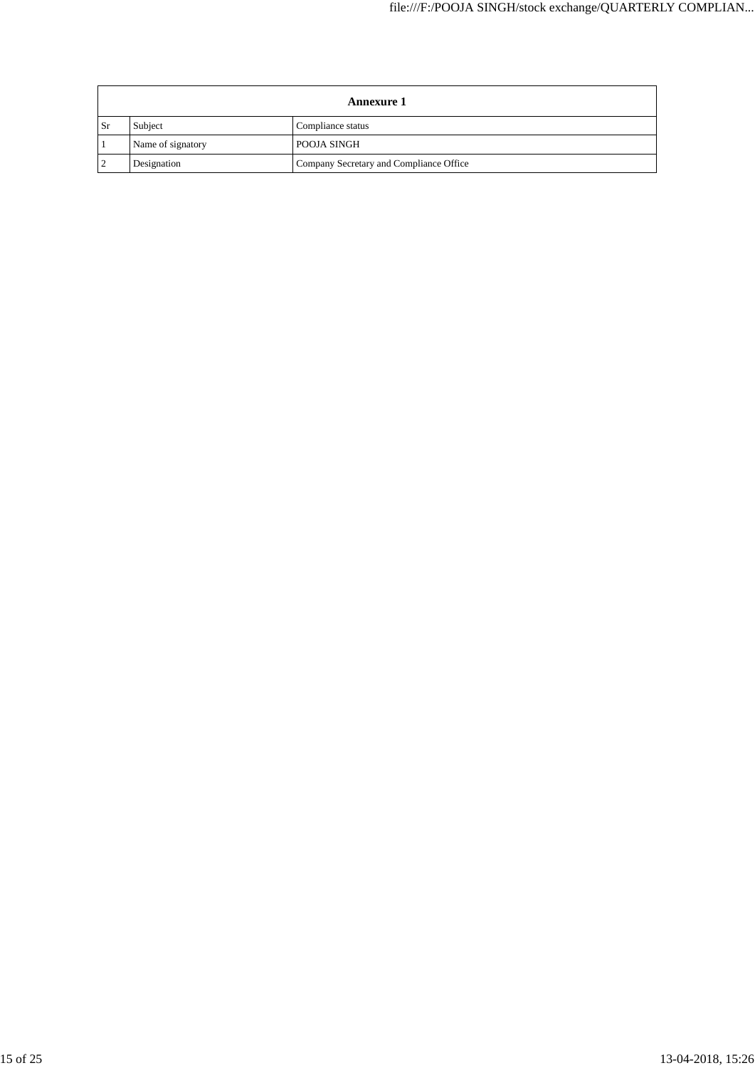|     | <b>Annexure 1</b> |                                         |  |
|-----|-------------------|-----------------------------------------|--|
| -Sr | Subject           | Compliance status                       |  |
|     | Name of signatory | <b>POOJA SINGH</b>                      |  |
|     | Designation       | Company Secretary and Compliance Office |  |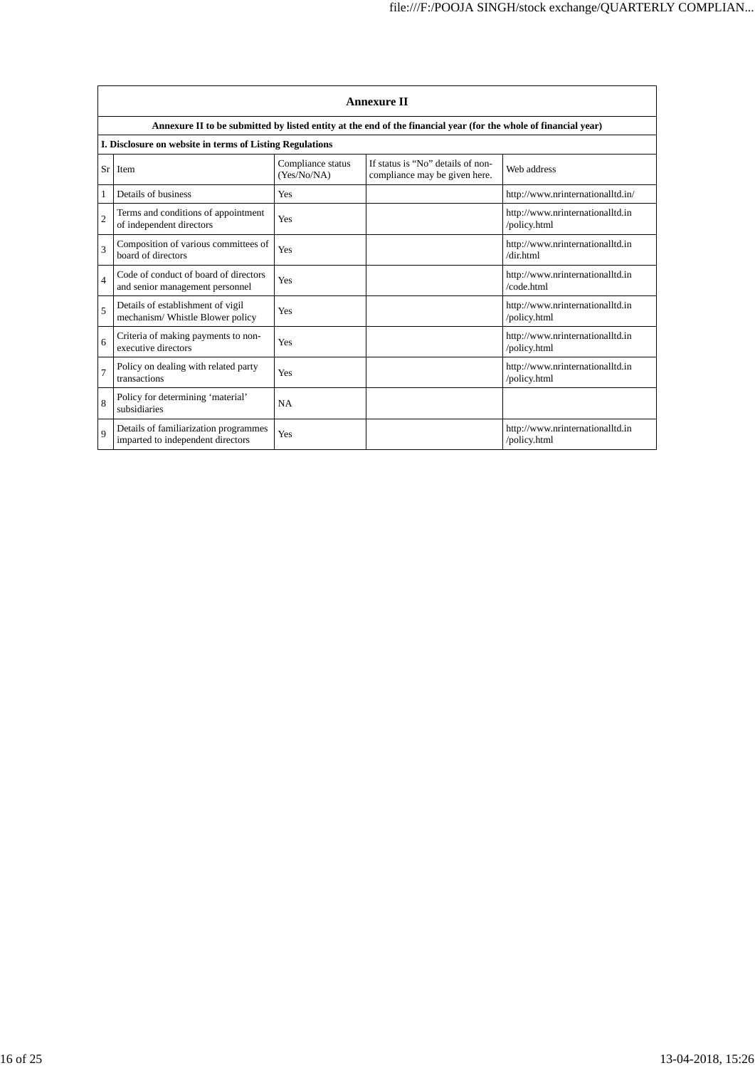|                | <b>Annexure II</b>                                                         |                                  |                                                                                                                 |                                                  |
|----------------|----------------------------------------------------------------------------|----------------------------------|-----------------------------------------------------------------------------------------------------------------|--------------------------------------------------|
|                |                                                                            |                                  | Annexure II to be submitted by listed entity at the end of the financial year (for the whole of financial year) |                                                  |
|                | I. Disclosure on website in terms of Listing Regulations                   |                                  |                                                                                                                 |                                                  |
| Sr             | <b>Item</b>                                                                | Compliance status<br>(Yes/No/NA) | If status is "No" details of non-<br>compliance may be given here.                                              | Web address                                      |
| 1              | Details of business                                                        | Yes                              |                                                                                                                 | http://www.nrinternationalltd.in/                |
| $\overline{c}$ | Terms and conditions of appointment<br>of independent directors            | Yes                              |                                                                                                                 | http://www.nrinternationalltd.in<br>/policy.html |
| 3              | Composition of various committees of<br>board of directors                 | Yes                              |                                                                                                                 | http://www.nrinternationalltd.in<br>/dir.html    |
| 4              | Code of conduct of board of directors<br>and senior management personnel   | Yes                              |                                                                                                                 | http://www.nrinternationalltd.in<br>/code.html   |
| 5              | Details of establishment of vigil<br>mechanism/Whistle Blower policy       | Yes                              |                                                                                                                 | http://www.nrinternationalltd.in<br>/policy.html |
| 6              | Criteria of making payments to non-<br>executive directors                 | Yes                              |                                                                                                                 | http://www.nrinternationalltd.in<br>/policy.html |
| 7              | Policy on dealing with related party<br>transactions                       | Yes                              |                                                                                                                 | http://www.nrinternationalltd.in<br>/policy.html |
| 8              | Policy for determining 'material'<br>subsidiaries                          | <b>NA</b>                        |                                                                                                                 |                                                  |
| 9              | Details of familiarization programmes<br>imparted to independent directors | Yes                              |                                                                                                                 | http://www.nrinternationalltd.in<br>/policy.html |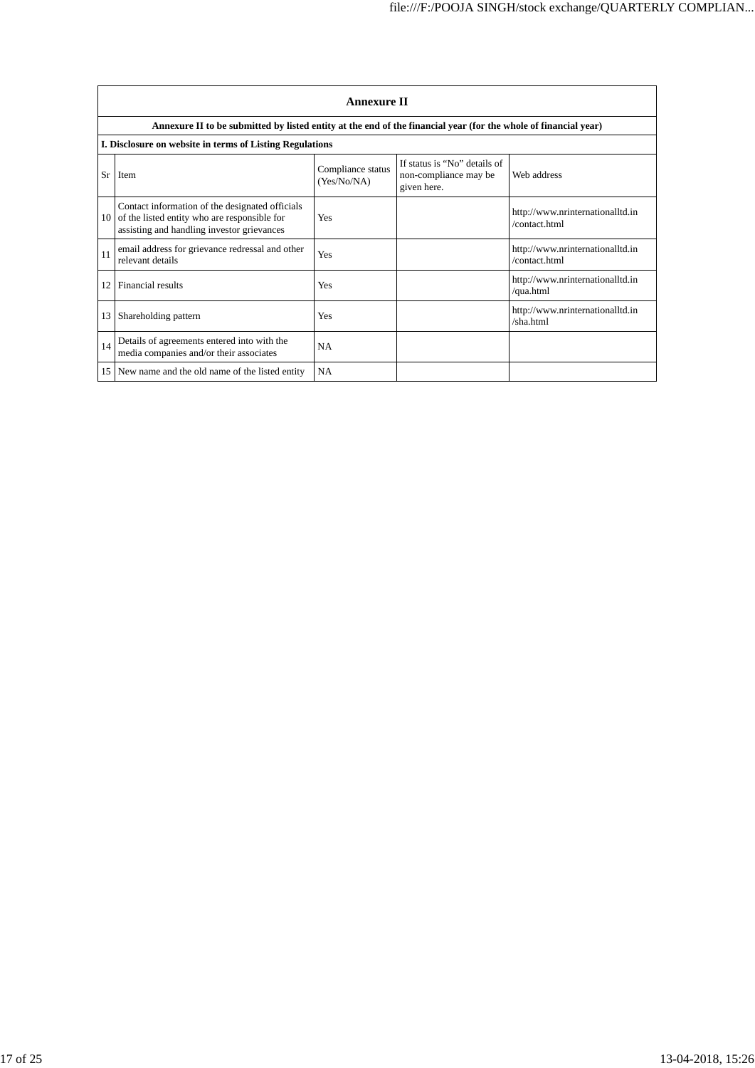|    | <b>Annexure II</b>                                                                                                                            |                                  |                                                                      |                                                   |
|----|-----------------------------------------------------------------------------------------------------------------------------------------------|----------------------------------|----------------------------------------------------------------------|---------------------------------------------------|
|    | Annexure II to be submitted by listed entity at the end of the financial year (for the whole of financial year)                               |                                  |                                                                      |                                                   |
|    | I. Disclosure on website in terms of Listing Regulations                                                                                      |                                  |                                                                      |                                                   |
| Sr | <b>Item</b>                                                                                                                                   | Compliance status<br>(Yes/No/NA) | If status is "No" details of<br>non-compliance may be<br>given here. | Web address                                       |
| 10 | Contact information of the designated officials<br>of the listed entity who are responsible for<br>assisting and handling investor grievances | Yes                              |                                                                      | http://www.nrinternationalltd.in<br>/contact.html |
| 11 | email address for grievance redressal and other<br>relevant details                                                                           | Yes                              |                                                                      | http://www.nrinternationalltd.in<br>/contact.html |
| 12 | Financial results                                                                                                                             | Yes                              |                                                                      | http://www.nrinternationalltd.in<br>/qua.html     |
| 13 | Shareholding pattern                                                                                                                          | Yes                              |                                                                      | http://www.nrinternationalltd.in<br>/sha.html     |
| 14 | Details of agreements entered into with the<br>media companies and/or their associates                                                        | <b>NA</b>                        |                                                                      |                                                   |
|    | 15 New name and the old name of the listed entity                                                                                             | NA                               |                                                                      |                                                   |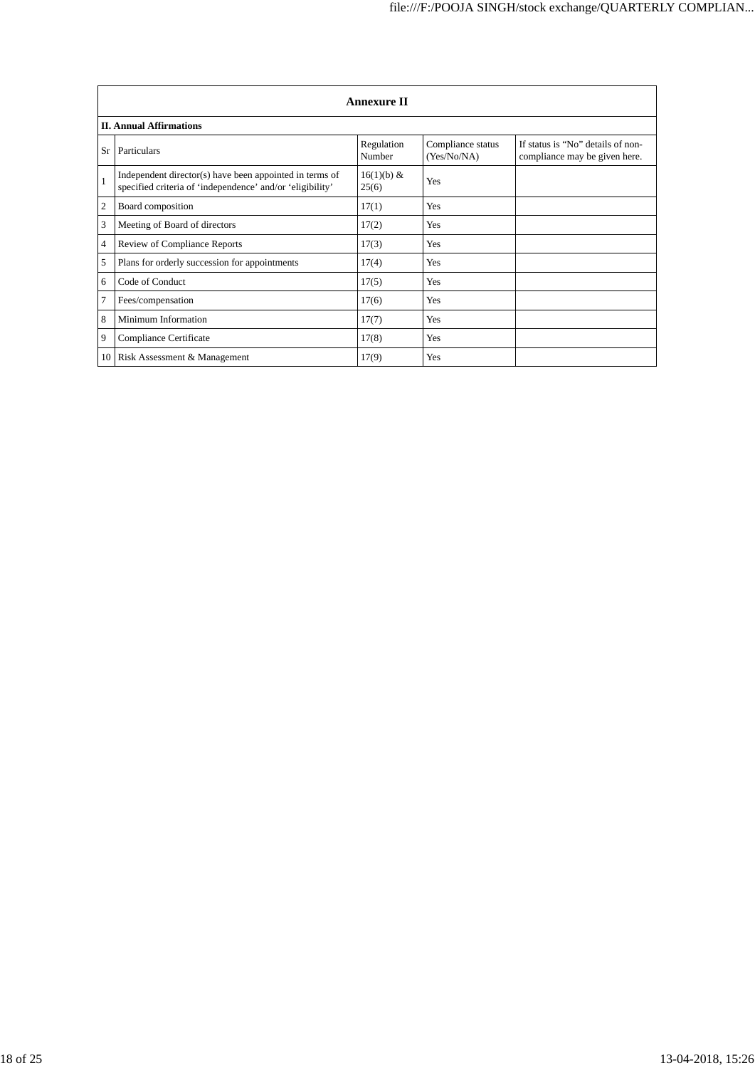|                | <b>Annexure II</b>                                                                                                   |                      |                                  |                                                                    |
|----------------|----------------------------------------------------------------------------------------------------------------------|----------------------|----------------------------------|--------------------------------------------------------------------|
|                | <b>II. Annual Affirmations</b>                                                                                       |                      |                                  |                                                                    |
| Sr             | Particulars                                                                                                          | Regulation<br>Number | Compliance status<br>(Yes/No/NA) | If status is "No" details of non-<br>compliance may be given here. |
|                | Independent director(s) have been appointed in terms of<br>specified criteria of 'independence' and/or 'eligibility' | 16(1)(b) &<br>25(6)  | Yes                              |                                                                    |
| $\overline{2}$ | Board composition                                                                                                    | 17(1)                | Yes                              |                                                                    |
| 3              | Meeting of Board of directors                                                                                        | 17(2)                | Yes                              |                                                                    |
| $\overline{4}$ | Review of Compliance Reports                                                                                         | 17(3)                | Yes                              |                                                                    |
| 5              | Plans for orderly succession for appointments                                                                        | 17(4)                | Yes                              |                                                                    |
| 6              | Code of Conduct                                                                                                      | 17(5)                | Yes                              |                                                                    |
| 7              | Fees/compensation                                                                                                    | 17(6)                | Yes                              |                                                                    |
| 8              | Minimum Information                                                                                                  | 17(7)                | Yes                              |                                                                    |
| 9              | Compliance Certificate                                                                                               | 17(8)                | Yes                              |                                                                    |
| 10             | Risk Assessment & Management                                                                                         | 17(9)                | Yes                              |                                                                    |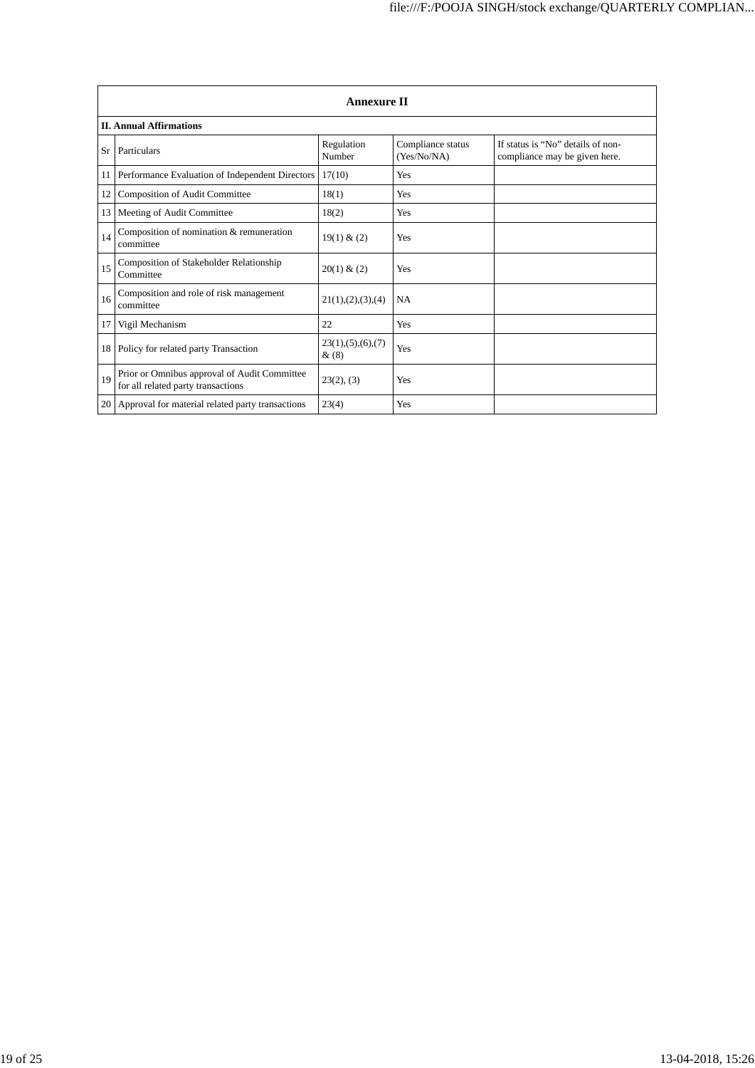|             | <b>Annexure II</b>                                                                 |                              |                                  |                                                                    |
|-------------|------------------------------------------------------------------------------------|------------------------------|----------------------------------|--------------------------------------------------------------------|
|             | <b>II. Annual Affirmations</b>                                                     |                              |                                  |                                                                    |
| Sr          | Particulars                                                                        | Regulation<br>Number         | Compliance status<br>(Yes/No/NA) | If status is "No" details of non-<br>compliance may be given here. |
| 11          | Performance Evaluation of Independent Directors                                    | 17(10)                       | Yes                              |                                                                    |
| 12          | <b>Composition of Audit Committee</b>                                              | 18(1)                        | Yes                              |                                                                    |
| 13          | Meeting of Audit Committee                                                         | 18(2)                        | Yes                              |                                                                    |
| 14          | Composition of nomination & remuneration<br>committee                              | 19(1) & (2)                  | Yes                              |                                                                    |
| 15          | <b>Composition of Stakeholder Relationship</b><br>Committee                        | 20(1) & (2)                  | Yes                              |                                                                    |
| 16          | Composition and role of risk management<br>committee                               | 21(1), (2), (3), (4)         | <b>NA</b>                        |                                                                    |
| 17          | Vigil Mechanism                                                                    | 22                           | Yes                              |                                                                    |
| 18          | Policy for related party Transaction                                               | 23(1), (5), (6), (7)<br>&(8) | Yes                              |                                                                    |
| 19          | Prior or Omnibus approval of Audit Committee<br>for all related party transactions | 23(2), (3)                   | Yes                              |                                                                    |
| <b>20</b> l | Approval for material related party transactions                                   | 23(4)                        | Yes                              |                                                                    |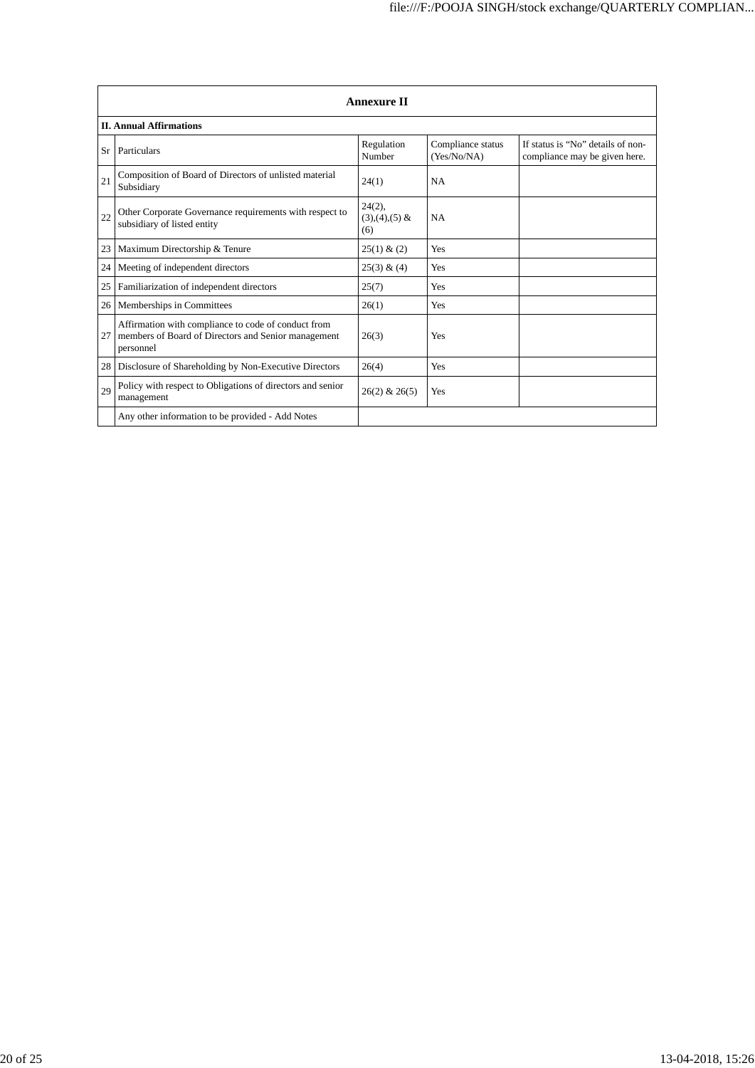|    | <b>Annexure II</b>                                                                                                      |                                     |                                  |                                                                    |
|----|-------------------------------------------------------------------------------------------------------------------------|-------------------------------------|----------------------------------|--------------------------------------------------------------------|
|    | <b>II. Annual Affirmations</b>                                                                                          |                                     |                                  |                                                                    |
| Sr | Particulars                                                                                                             | Regulation<br>Number                | Compliance status<br>(Yes/No/NA) | If status is "No" details of non-<br>compliance may be given here. |
| 21 | Composition of Board of Directors of unlisted material<br>Subsidiary                                                    | 24(1)                               | <b>NA</b>                        |                                                                    |
| 22 | Other Corporate Governance requirements with respect to<br>subsidiary of listed entity                                  | $24(2)$ ,<br>$(3),(4),(5)$ &<br>(6) | <b>NA</b>                        |                                                                    |
| 23 | Maximum Directorship & Tenure                                                                                           | 25(1) & (2)                         | Yes                              |                                                                    |
| 24 | Meeting of independent directors                                                                                        | 25(3) & (4)                         | Yes                              |                                                                    |
| 25 | Familiarization of independent directors                                                                                | 25(7)                               | Yes                              |                                                                    |
| 26 | Memberships in Committees                                                                                               | 26(1)                               | Yes                              |                                                                    |
| 27 | Affirmation with compliance to code of conduct from<br>members of Board of Directors and Senior management<br>personnel | 26(3)                               | Yes                              |                                                                    |
| 28 | Disclosure of Shareholding by Non-Executive Directors                                                                   | 26(4)                               | Yes                              |                                                                    |
| 29 | Policy with respect to Obligations of directors and senior<br>management                                                | $26(2)$ & $26(5)$                   | Yes                              |                                                                    |
|    | Any other information to be provided - Add Notes                                                                        |                                     |                                  |                                                                    |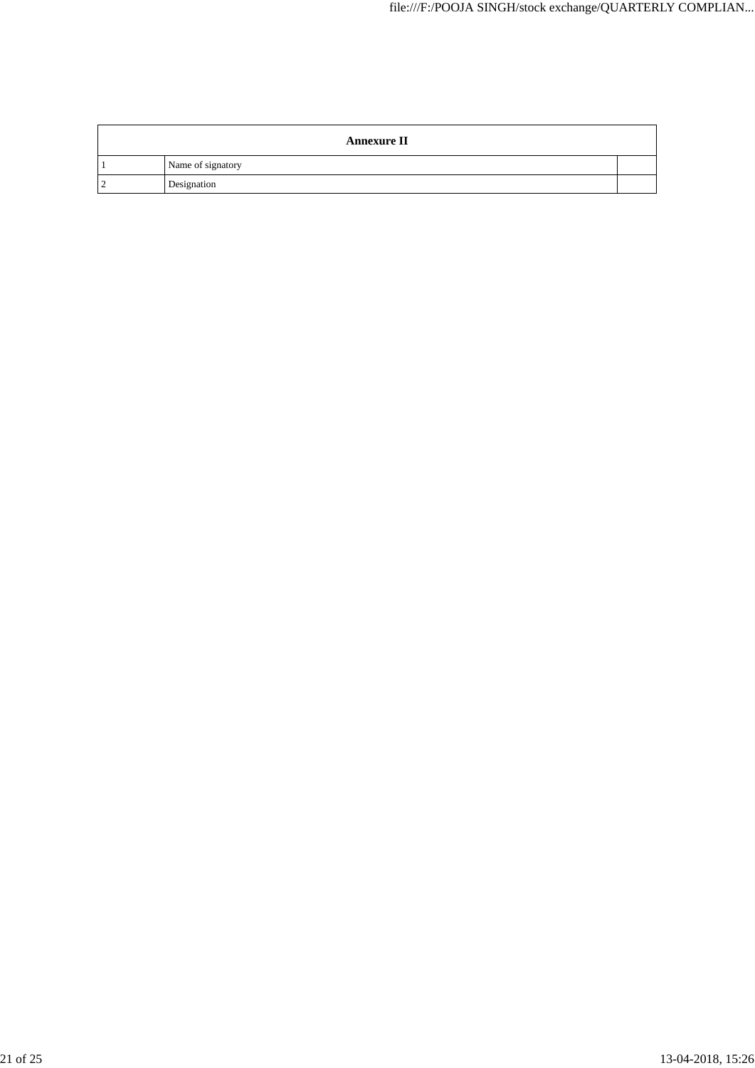| <b>Annexure II</b> |  |
|--------------------|--|
| Name of signatory  |  |
| Designation        |  |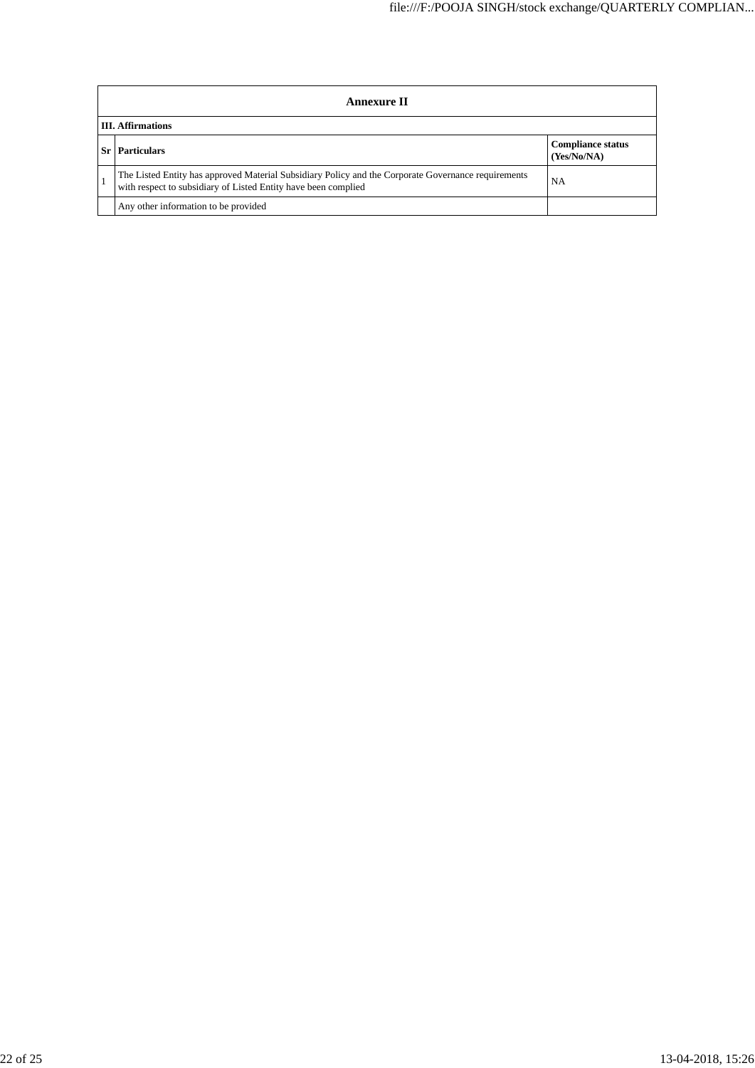| <b>Annexure II</b>                                                                                                                                                    |                                         |  |
|-----------------------------------------------------------------------------------------------------------------------------------------------------------------------|-----------------------------------------|--|
| <b>III.</b> Affirmations                                                                                                                                              |                                         |  |
| <b>Particulars</b>                                                                                                                                                    | <b>Compliance status</b><br>(Yes/No/NA) |  |
| The Listed Entity has approved Material Subsidiary Policy and the Corporate Governance requirements<br>with respect to subsidiary of Listed Entity have been complied | NA                                      |  |
| Any other information to be provided                                                                                                                                  |                                         |  |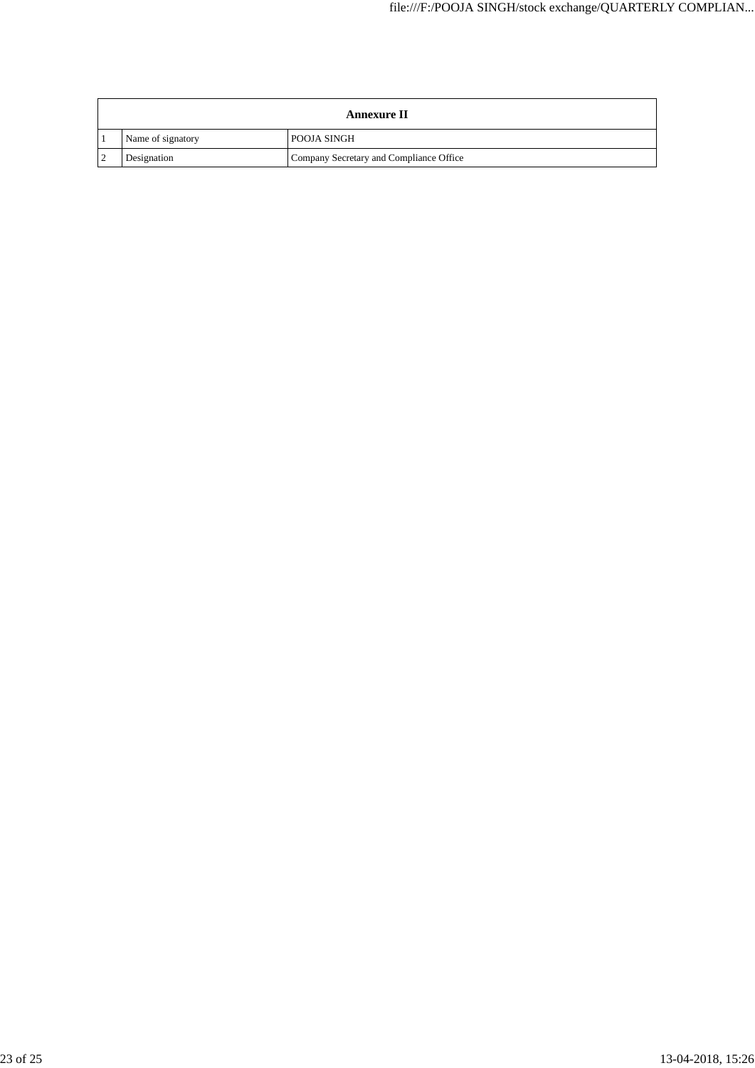| <b>Annexure II</b> |                                         |  |
|--------------------|-----------------------------------------|--|
| Name of signatory  | <b>POOJA SINGH</b>                      |  |
| Designation        | Company Secretary and Compliance Office |  |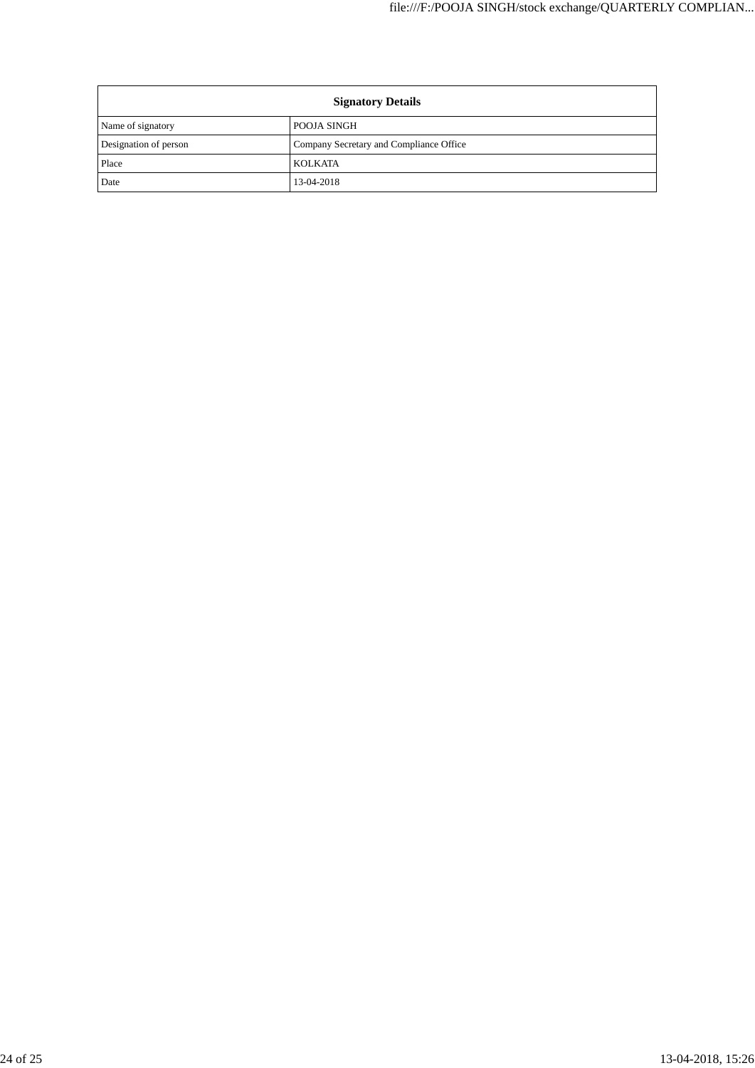| <b>Signatory Details</b> |                                         |
|--------------------------|-----------------------------------------|
| Name of signatory        | POOJA SINGH                             |
| Designation of person    | Company Secretary and Compliance Office |
| Place                    | <b>KOLKATA</b>                          |
| Date                     | 13-04-2018                              |